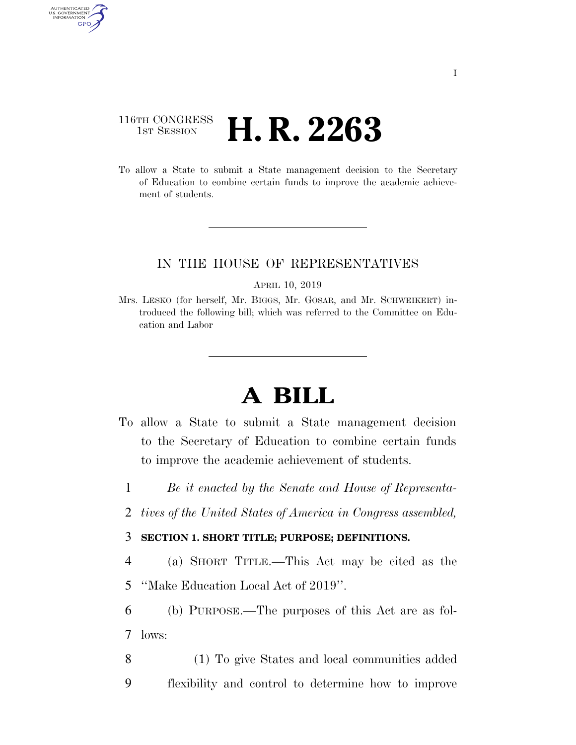## 116TH CONGRESS <sup>TH CONGRESS</sup> **H. R. 2263**

AUTHENTICAT U.S. GOVERNMENT GPO

> To allow a State to submit a State management decision to the Secretary of Education to combine certain funds to improve the academic achievement of students.

#### IN THE HOUSE OF REPRESENTATIVES

APRIL 10, 2019

Mrs. LESKO (for herself, Mr. BIGGS, Mr. GOSAR, and Mr. SCHWEIKERT) introduced the following bill; which was referred to the Committee on Education and Labor

# **A BILL**

- To allow a State to submit a State management decision to the Secretary of Education to combine certain funds to improve the academic achievement of students.
	- 1 *Be it enacted by the Senate and House of Representa-*
	- 2 *tives of the United States of America in Congress assembled,*

#### 3 **SECTION 1. SHORT TITLE; PURPOSE; DEFINITIONS.**

- 4 (a) SHORT TITLE.—This Act may be cited as the 5 ''Make Education Local Act of 2019''.
- 6 (b) PURPOSE.—The purposes of this Act are as fol-7 lows:
- 8 (1) To give States and local communities added 9 flexibility and control to determine how to improve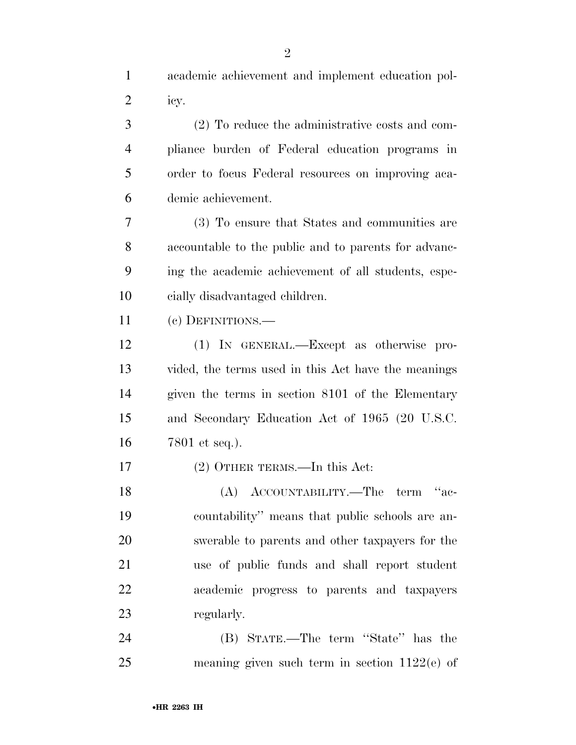| $\mathbf{1}$   | academic achievement and implement education pol-    |
|----------------|------------------------------------------------------|
| 2              | icy.                                                 |
| 3              | (2) To reduce the administrative costs and com-      |
| $\overline{4}$ | pliance burden of Federal education programs in      |
| 5              | order to focus Federal resources on improving aca-   |
| 6              | demic achievement.                                   |
| 7              | (3) To ensure that States and communities are        |
| 8              | accountable to the public and to parents for advanc- |
| 9              | ing the academic achievement of all students, espe-  |
| 10             | cially disadvantaged children.                       |
| 11             | (c) DEFINITIONS.—                                    |
| 12             | (1) IN GENERAL.—Except as otherwise pro-             |
| 13             | vided, the terms used in this Act have the meanings  |
| 14             | given the terms in section 8101 of the Elementary    |
| 15             | and Secondary Education Act of 1965 (20 U.S.C.       |
| 16             | 7801 et seq.).                                       |
| 17             | $(2)$ OTHER TERMS.—In this Act:                      |
| 18             | (A) ACCOUNTABILITY.—The term<br>$4a$ e-              |
| 19             | countability" means that public schools are an-      |
| 20             | swerable to parents and other taxpayers for the      |
| 21             | use of public funds and shall report student         |
| 22             | academic progress to parents and taxpayers           |
| 23             | regularly.                                           |
| 24             | (B) STATE.—The term "State" has the                  |
| 25             | meaning given such term in section $1122(e)$ of      |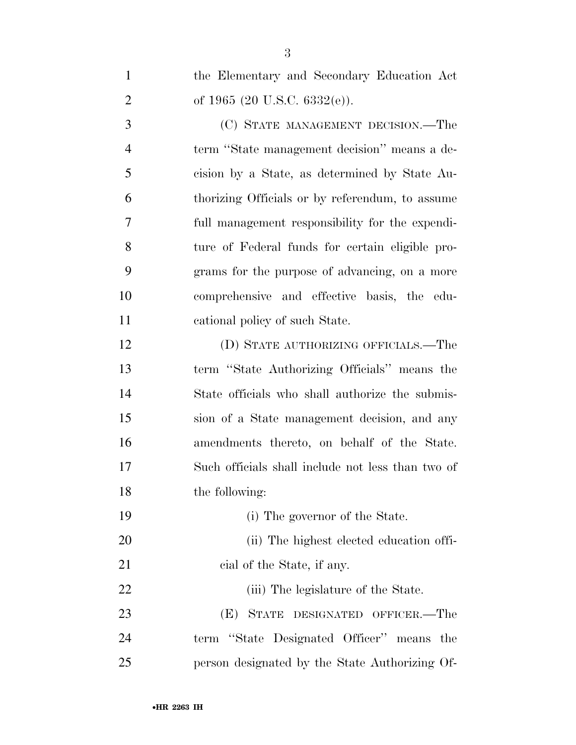the Elementary and Secondary Education Act 2 of 1965 (20 U.S.C. 6332(e)). (C) STATE MANAGEMENT DECISION.—The term ''State management decision'' means a de- cision by a State, as determined by State Au- thorizing Officials or by referendum, to assume full management responsibility for the expendi- ture of Federal funds for certain eligible pro- grams for the purpose of advancing, on a more comprehensive and effective basis, the edu- cational policy of such State. (D) STATE AUTHORIZING OFFICIALS.—The term ''State Authorizing Officials'' means the State officials who shall authorize the submis- sion of a State management decision, and any amendments thereto, on behalf of the State. Such officials shall include not less than two of the following: (i) The governor of the State. 20 (ii) The highest elected education offi-21 cial of the State, if any. 22 (iii) The legislature of the State. (E) STATE DESIGNATED OFFICER.—The term ''State Designated Officer'' means the person designated by the State Authorizing Of-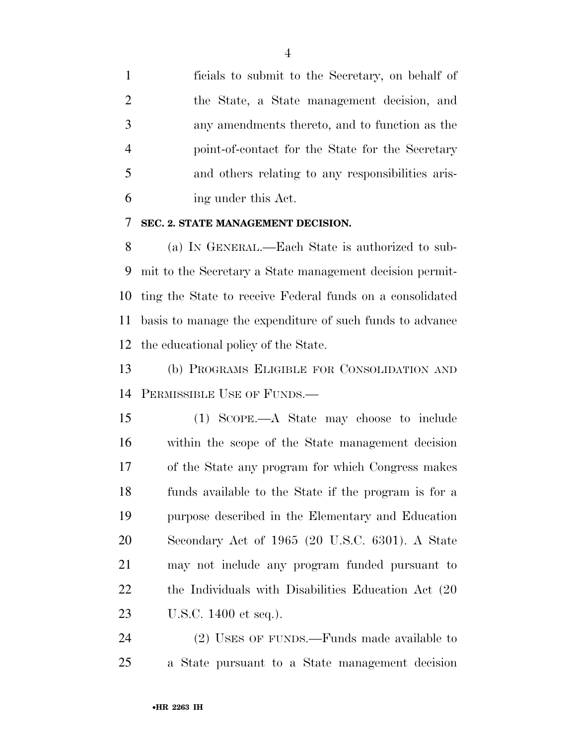ficials to submit to the Secretary, on behalf of the State, a State management decision, and any amendments thereto, and to function as the point-of-contact for the State for the Secretary and others relating to any responsibilities aris-ing under this Act.

#### **SEC. 2. STATE MANAGEMENT DECISION.**

 (a) IN GENERAL.—Each State is authorized to sub- mit to the Secretary a State management decision permit- ting the State to receive Federal funds on a consolidated basis to manage the expenditure of such funds to advance the educational policy of the State.

 (b) PROGRAMS ELIGIBLE FOR CONSOLIDATION AND PERMISSIBLE USE OF FUNDS.—

 (1) SCOPE.—A State may choose to include within the scope of the State management decision of the State any program for which Congress makes funds available to the State if the program is for a purpose described in the Elementary and Education Secondary Act of 1965 (20 U.S.C. 6301). A State may not include any program funded pursuant to the Individuals with Disabilities Education Act (20 U.S.C. 1400 et seq.).

 (2) USES OF FUNDS.—Funds made available to a State pursuant to a State management decision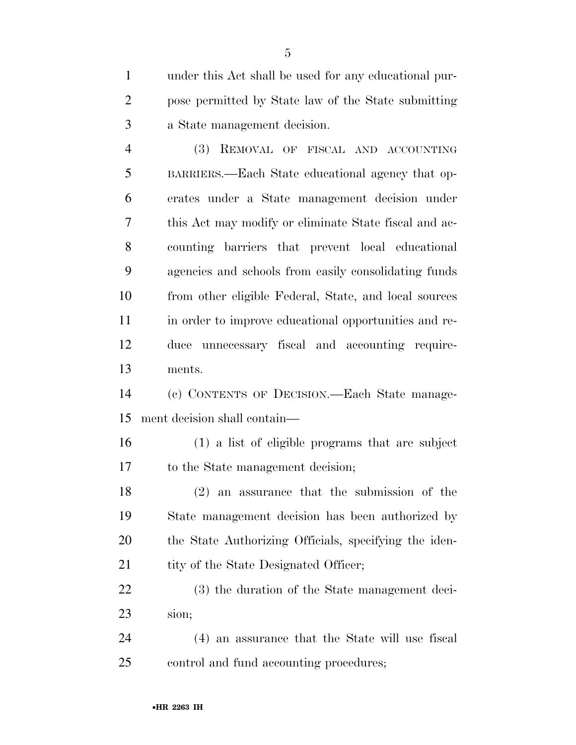under this Act shall be used for any educational pur- pose permitted by State law of the State submitting a State management decision.

 (3) REMOVAL OF FISCAL AND ACCOUNTING BARRIERS.—Each State educational agency that op- erates under a State management decision under this Act may modify or eliminate State fiscal and ac- counting barriers that prevent local educational agencies and schools from easily consolidating funds from other eligible Federal, State, and local sources in order to improve educational opportunities and re- duce unnecessary fiscal and accounting require-ments.

 (c) CONTENTS OF DECISION.—Each State manage-ment decision shall contain—

 (1) a list of eligible programs that are subject to the State management decision;

 (2) an assurance that the submission of the State management decision has been authorized by the State Authorizing Officials, specifying the iden-21 tity of the State Designated Officer;

 (3) the duration of the State management deci-sion;

 (4) an assurance that the State will use fiscal control and fund accounting procedures;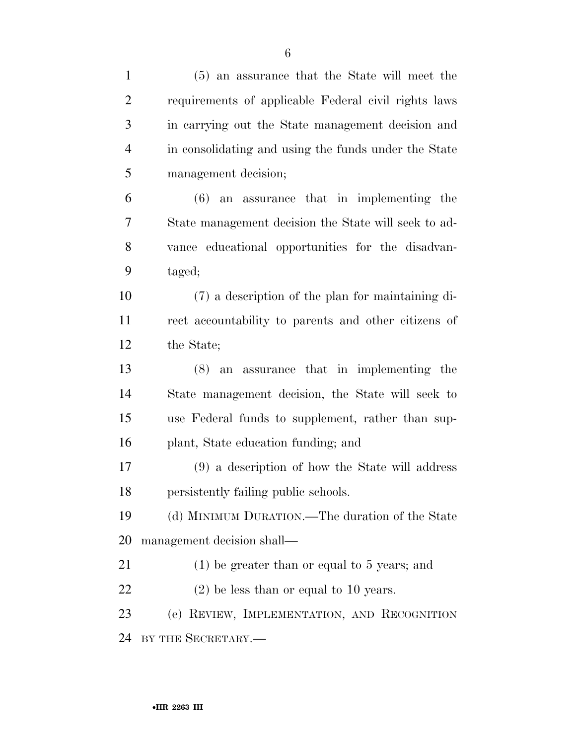| $\mathbf{1}$   | (5) an assurance that the State will meet the        |
|----------------|------------------------------------------------------|
| $\overline{2}$ | requirements of applicable Federal civil rights laws |
| 3              | in carrying out the State management decision and    |
| $\overline{4}$ | in consolidating and using the funds under the State |
| 5              | management decision;                                 |
| 6              | $(6)$ an assurance that in implementing the          |
| 7              | State management decision the State will seek to ad- |
| 8              | vance educational opportunities for the disadvan-    |
| 9              | taged;                                               |
| 10             | (7) a description of the plan for maintaining di-    |
| 11             | rect accountability to parents and other citizens of |
| 12             | the State;                                           |
| 13             | $(8)$ an assurance that in implementing the          |
| 14             | State management decision, the State will seek to    |
| 15             | use Federal funds to supplement, rather than sup-    |
| 16             | plant, State education funding; and                  |
| 17             | (9) a description of how the State will address      |
| 18             | persistently failing public schools.                 |
| 19             | (d) MINIMUM DURATION.—The duration of the State      |
| 20             | management decision shall—                           |
| 21             | $(1)$ be greater than or equal to 5 years; and       |
| 22             | $(2)$ be less than or equal to 10 years.             |
| 23             | (e) REVIEW, IMPLEMENTATION, AND RECOGNITION          |
| 24             | BY THE SECRETARY.                                    |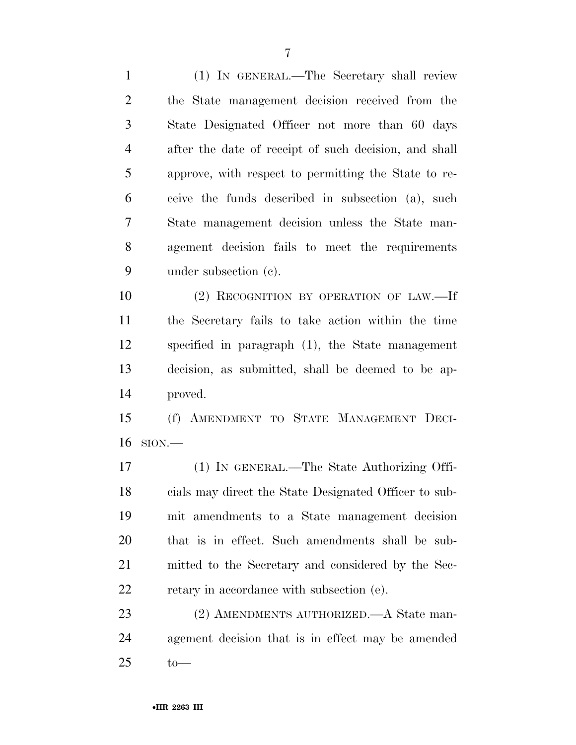(1) IN GENERAL.—The Secretary shall review the State management decision received from the State Designated Officer not more than 60 days after the date of receipt of such decision, and shall approve, with respect to permitting the State to re- ceive the funds described in subsection (a), such State management decision unless the State man- agement decision fails to meet the requirements under subsection (c).

10 (2) RECOGNITION BY OPERATION OF LAW.—If the Secretary fails to take action within the time specified in paragraph (1), the State management decision, as submitted, shall be deemed to be ap-proved.

 (f) AMENDMENT TO STATE MANAGEMENT DECI-SION.—

 (1) IN GENERAL.—The State Authorizing Offi- cials may direct the State Designated Officer to sub- mit amendments to a State management decision that is in effect. Such amendments shall be sub- mitted to the Secretary and considered by the Sec-retary in accordance with subsection (e).

23 (2) AMENDMENTS AUTHORIZED.—A State man- agement decision that is in effect may be amended to—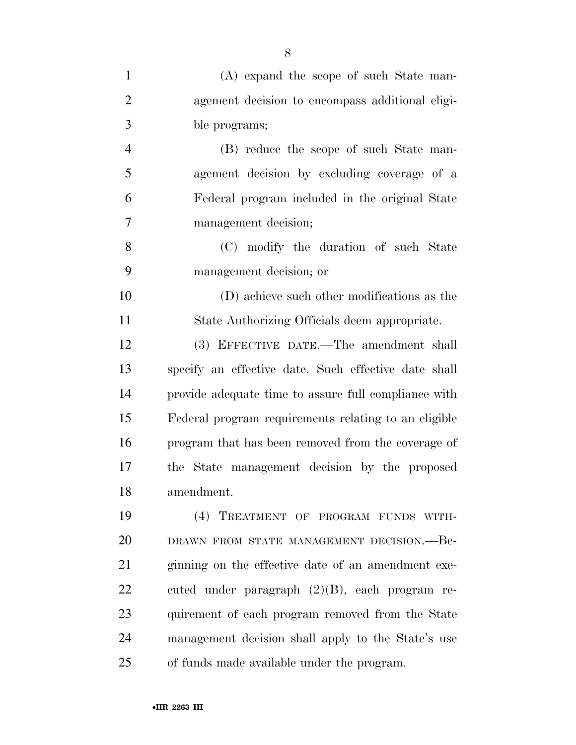| $\mathbf{1}$   | (A) expand the scope of such State man-              |
|----------------|------------------------------------------------------|
| $\overline{2}$ | agement decision to encompass additional eligi-      |
| 3              | ble programs;                                        |
| $\overline{4}$ | (B) reduce the scope of such State man-              |
| 5              | agement decision by excluding coverage of a          |
| 6              | Federal program included in the original State       |
| 7              | management decision;                                 |
| 8              | (C) modify the duration of such State                |
| 9              | management decision; or                              |
| 10             | (D) achieve such other modifications as the          |
| 11             | State Authorizing Officials deem appropriate.        |
| 12             | (3) EFFECTIVE DATE.—The amendment shall              |
| 13             | specify an effective date. Such effective date shall |
| 14             | provide adequate time to assure full compliance with |
| 15             | Federal program requirements relating to an eligible |
| 16             | program that has been removed from the coverage of   |
| 17             | the State management decision by the proposed        |
| 18             | amendment.                                           |
| 19             | (4) TREATMENT OF PROGRAM FUNDS WITH-                 |
| 20             | DRAWN FROM STATE MANAGEMENT DECISION. - Be-          |
| 21             | ginning on the effective date of an amendment exe-   |
| 22             | cuted under paragraph $(2)(B)$ , each program re-    |
| 23             | quirement of each program removed from the State     |
| 24             | management decision shall apply to the State's use   |
| 25             | of funds made available under the program.           |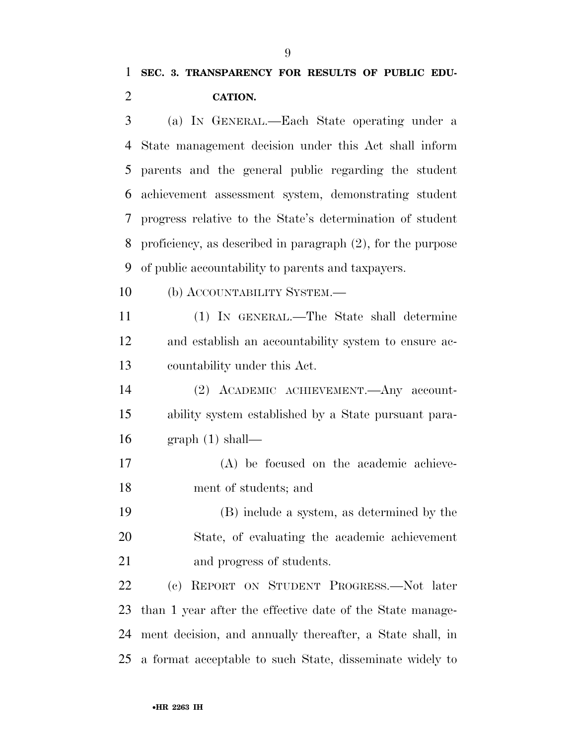# **SEC. 3. TRANSPARENCY FOR RESULTS OF PUBLIC EDU-CATION.**

 (a) IN GENERAL.—Each State operating under a State management decision under this Act shall inform parents and the general public regarding the student achievement assessment system, demonstrating student progress relative to the State's determination of student proficiency, as described in paragraph (2), for the purpose of public accountability to parents and taxpayers.

10 (b) ACCOUNTABILITY SYSTEM.—

 (1) IN GENERAL.—The State shall determine and establish an accountability system to ensure ac-countability under this Act.

 (2) ACADEMIC ACHIEVEMENT.—Any account- ability system established by a State pursuant para-graph (1) shall—

 (A) be focused on the academic achieve-ment of students; and

 (B) include a system, as determined by the State, of evaluating the academic achievement and progress of students.

 (c) REPORT ON STUDENT PROGRESS.—Not later than 1 year after the effective date of the State manage- ment decision, and annually thereafter, a State shall, in a format acceptable to such State, disseminate widely to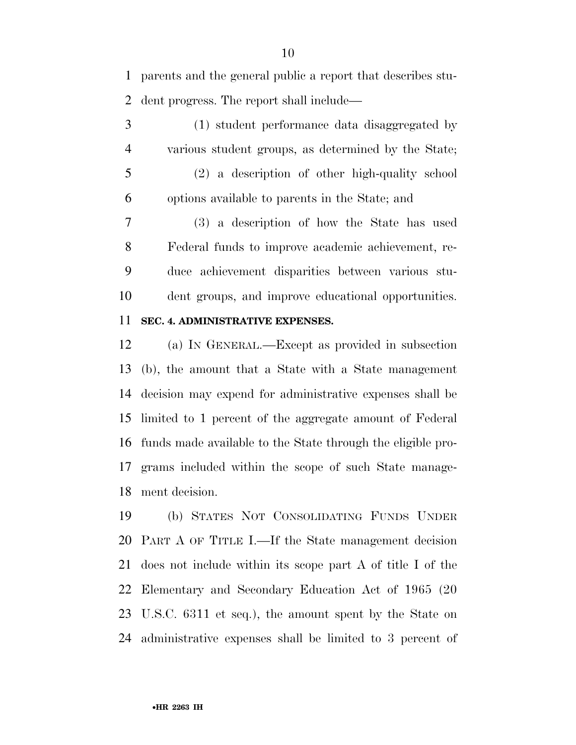parents and the general public a report that describes stu-dent progress. The report shall include—

 (1) student performance data disaggregated by various student groups, as determined by the State; (2) a description of other high-quality school options available to parents in the State; and

 (3) a description of how the State has used Federal funds to improve academic achievement, re- duce achievement disparities between various stu-dent groups, and improve educational opportunities.

#### **SEC. 4. ADMINISTRATIVE EXPENSES.**

 (a) IN GENERAL.—Except as provided in subsection (b), the amount that a State with a State management decision may expend for administrative expenses shall be limited to 1 percent of the aggregate amount of Federal funds made available to the State through the eligible pro- grams included within the scope of such State manage-ment decision.

 (b) STATES NOT CONSOLIDATING FUNDS UNDER PART A OF TITLE I.—If the State management decision does not include within its scope part A of title I of the Elementary and Secondary Education Act of 1965 (20 U.S.C. 6311 et seq.), the amount spent by the State on administrative expenses shall be limited to 3 percent of